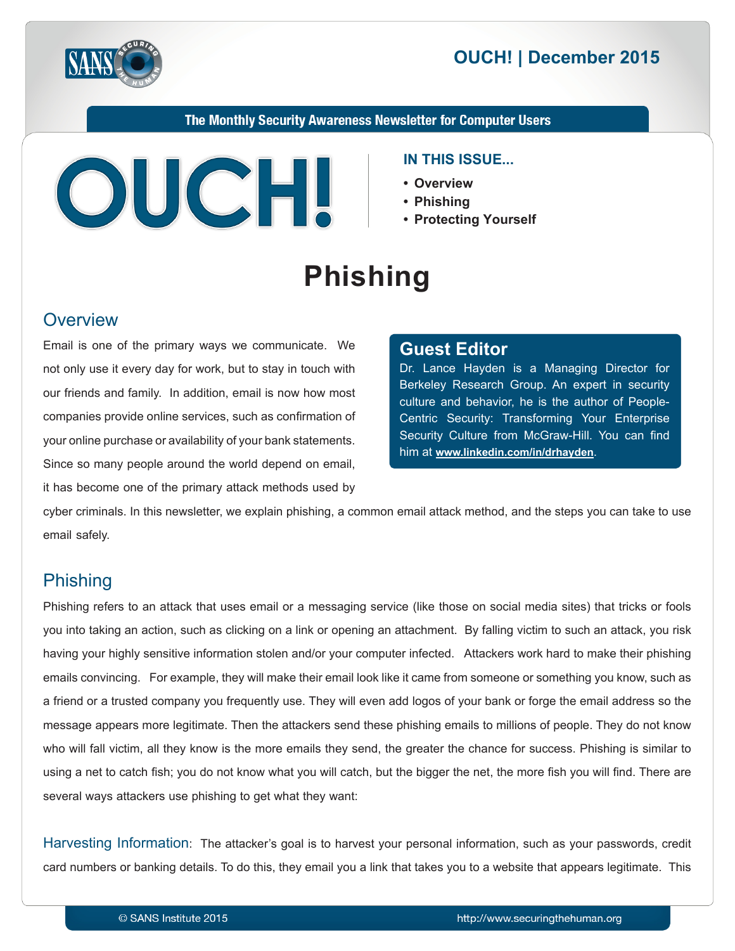



The Monthly Security Awareness Newsletter for Computer Users



#### **IN THIS ISSUE...**

- **Overview•**
- **Phishing•**
- **Yourself Protecting•**

# **Phishing**

### **Overview**

Email is one of the primary ways we communicate. We not only use it every day for work, but to stay in touch with our friends and family. In addition, email is now how most companies provide online services, such as confirmation of your online purchase or availability of your bank statements. Since so many people around the world depend on email, it has become one of the primary attack methods used by

#### **Editor Guest**

Dr. Lance Hayden is a Managing Director for Berkeley Research Group. An expert in security Centric Security: Transforming Your Enterprise culture and behavior, he is the author of People-Security Culture from McGraw-Hill. You can find him at www.linkedin.com/in/drhayden.

cyber criminals. In this newsletter, we explain phishing, a common email attack method, and the steps you can take to use email safely.

# Phishing

Phishing refers to an attack that uses email or a messaging service (like those on social media sites) that tricks or fools you into taking an action, such as clicking on a link or opening an attachment. By falling victim to such an attack, you risk having your highly sensitive information stolen and/or your computer infected. Attackers work hard to make their phishing emails convincing. For example, they will make their email look like it came from someone or something you know, such as a friend or a trusted company you frequently use. They will even add logos of your bank or forge the email address so the message appears more legitimate. Then the attackers send these phishing emails to millions of people. They do not know who will fall victim, all they know is the more emails they send, the greater the chance for success. Phishing is similar to using a net to catch fish; you do not know what you will catch, but the bigger the net, the more fish you will find. There are several ways attackers use phishing to get what they want:

Harvesting Information: The attacker's goal is to harvest your personal information, such as your passwords, credit card numbers or banking details. To do this, they email you a link that takes you to a website that appears legitimate. This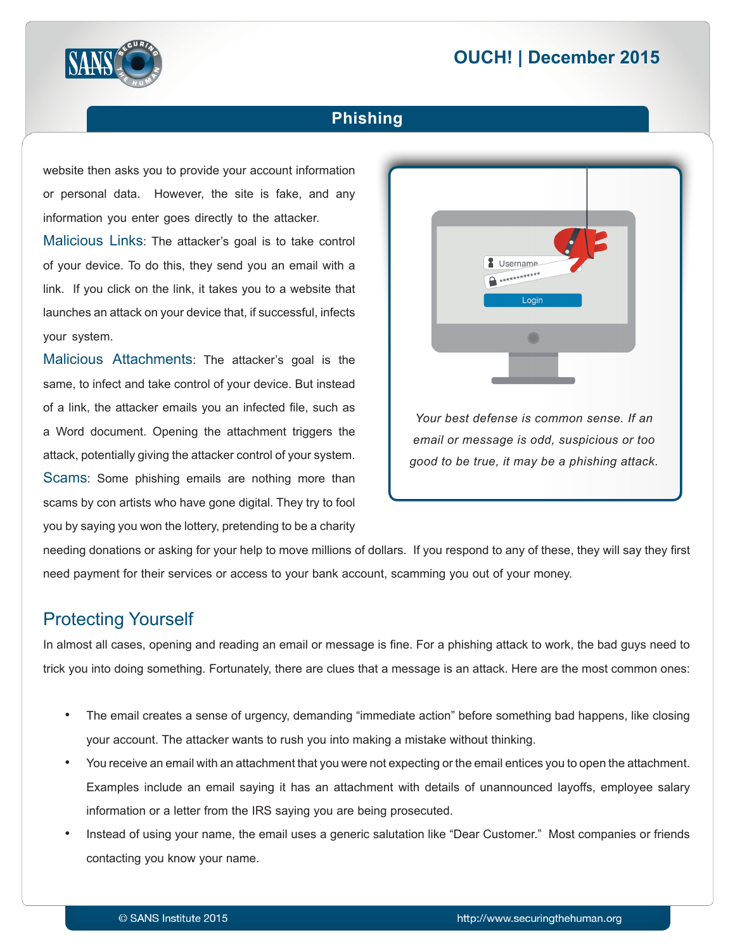# **2015** OUCH! | December 2015



### **Phishing**

website then asks you to provide your account information or personal data. However, the site is fake, and any information you enter goes directly to the attacker.

Malicious Links: The attacker's goal is to take control of your device. To do this, they send you an email with a link. If you click on the link, it takes you to a website that launches an attack on your device that, if successful, infects your system.

Malicious Attachments: The attacker's goal is the same, to infect and take control of your device. But instead of a link, the attacker emails you an infected file, such as a Word document. Opening the attachment triggers the attack, potentially giving the attacker control of your system. Scams: Some phishing emails are nothing more than scams by con artists who have gone digital. They try to fool you by saying you won the lottery, pretending to be a charity



needing donations or asking for your help to move millions of dollars. If you respond to any of these, they will say they first need payment for their services or access to your bank account, scamming you out of your money.

# **Protecting Yourself**

In almost all cases, opening and reading an email or message is fine. For a phishing attack to work, the bad guys need to trick you into doing something. Fortunately, there are clues that a message is an attack. Here are the most common ones:

- The email creates a sense of urgency, demanding "immediate action" before something bad happens, like closing your account. The attacker wants to rush you into making a mistake without thinking.
- You receive an email with an attachment that you were not expecting or the email entices you to open the attachment. Examples include an email saying it has an attachment with details of unannounced layoffs, employee salary information or a letter from the IRS saying you are being prosecuted.
- Instead of using your name, the email uses a generic salutation like "Dear Customer." Most companies or friends contacting you know your name.